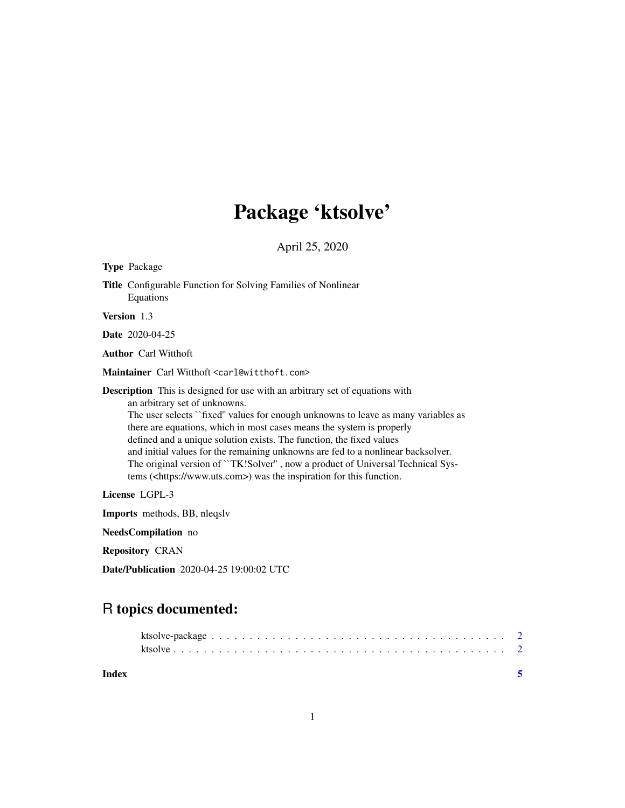# Package 'ktsolve'

April 25, 2020

<span id="page-0-0"></span>

| <b>Type Package</b>                                                                                                                                                                                                                                                                                                                                                                                                                                                                                                                                                                                                  |
|----------------------------------------------------------------------------------------------------------------------------------------------------------------------------------------------------------------------------------------------------------------------------------------------------------------------------------------------------------------------------------------------------------------------------------------------------------------------------------------------------------------------------------------------------------------------------------------------------------------------|
| <b>Title</b> Configurable Function for Solving Families of Nonlinear<br>Equations                                                                                                                                                                                                                                                                                                                                                                                                                                                                                                                                    |
| <b>Version</b> 1.3                                                                                                                                                                                                                                                                                                                                                                                                                                                                                                                                                                                                   |
| <b>Date</b> 2020-04-25                                                                                                                                                                                                                                                                                                                                                                                                                                                                                                                                                                                               |
| <b>Author</b> Carl Witthoft                                                                                                                                                                                                                                                                                                                                                                                                                                                                                                                                                                                          |
| Maintainer Carl Witthoft <carl@witthoft.com></carl@witthoft.com>                                                                                                                                                                                                                                                                                                                                                                                                                                                                                                                                                     |
| <b>Description</b> This is designed for use with an arbitrary set of equations with<br>an arbitrary set of unknowns.<br>The user selects ``fixed" values for enough unknowns to leave as many variables as<br>there are equations, which in most cases means the system is properly<br>defined and a unique solution exists. The function, the fixed values<br>and initial values for the remaining unknowns are fed to a nonlinear backsolver.<br>The original version of "TK!Solver", now a product of Universal Technical Sys-<br>tems ( <https: www.uts.com="">) was the inspiration for this function.</https:> |
| License LGPL-3                                                                                                                                                                                                                                                                                                                                                                                                                                                                                                                                                                                                       |
| <b>Imports</b> methods, BB, nlegsly                                                                                                                                                                                                                                                                                                                                                                                                                                                                                                                                                                                  |
| NeedsCompilation no                                                                                                                                                                                                                                                                                                                                                                                                                                                                                                                                                                                                  |

Repository CRAN

Date/Publication 2020-04-25 19:00:02 UTC

# R topics documented:

| Index |  |  |  |  |  |  |  |  |  |  |  |  |  |  |  |  |  |
|-------|--|--|--|--|--|--|--|--|--|--|--|--|--|--|--|--|--|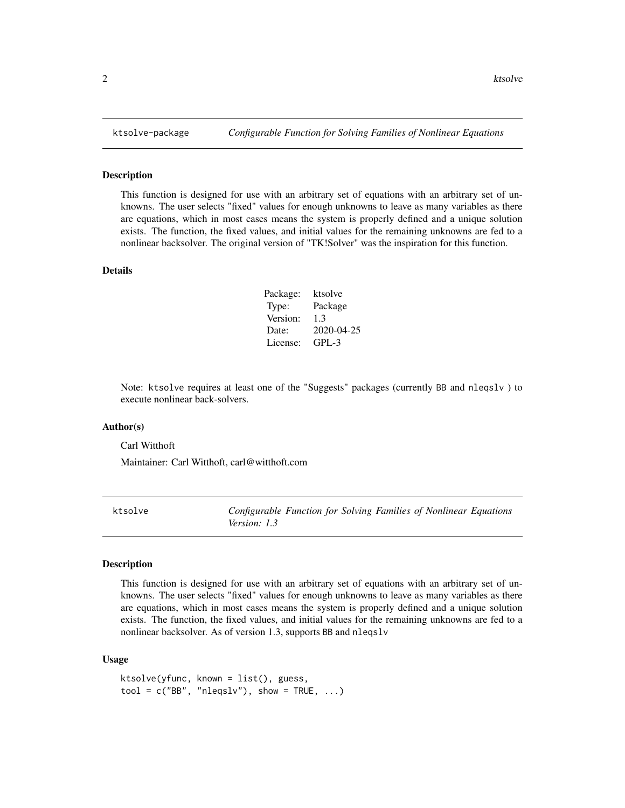#### Description

This function is designed for use with an arbitrary set of equations with an arbitrary set of unknowns. The user selects "fixed" values for enough unknowns to leave as many variables as there are equations, which in most cases means the system is properly defined and a unique solution exists. The function, the fixed values, and initial values for the remaining unknowns are fed to a nonlinear backsolver. The original version of "TK!Solver" was the inspiration for this function.

# Details

| Package: | ktsolve    |
|----------|------------|
| Type:    | Package    |
| Version: | 1.3        |
| Date:    | 2020-04-25 |
| License: | $GPI - 3$  |

Note: ktsolve requires at least one of the "Suggests" packages (currently BB and nleqslv ) to execute nonlinear back-solvers.

# Author(s)

Carl Witthoft

Maintainer: Carl Witthoft, carl@witthoft.com

ktsolve *Configurable Function for Solving Families of Nonlinear Equations Version: 1.3*

## Description

This function is designed for use with an arbitrary set of equations with an arbitrary set of unknowns. The user selects "fixed" values for enough unknowns to leave as many variables as there are equations, which in most cases means the system is properly defined and a unique solution exists. The function, the fixed values, and initial values for the remaining unknowns are fed to a nonlinear backsolver. As of version 1.3, supports BB and nleqslv

#### Usage

```
ktsolve(yfunc, known = list(), guess,
tool = c("BB", "nleqslv"), show = TRUE, ...)
```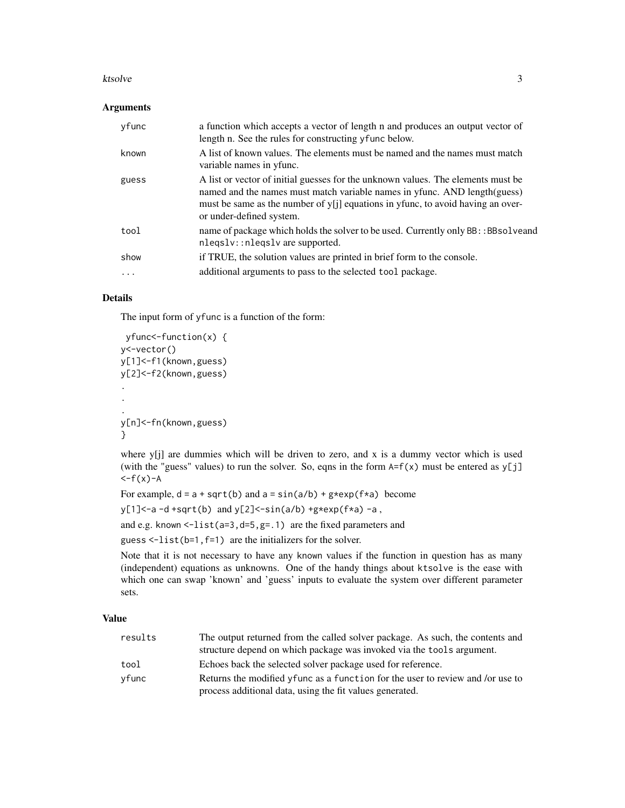#### ktsolve 3

#### Arguments

| yfunc    | a function which accepts a vector of length n and produces an output vector of<br>length n. See the rules for constructing yfunc below.                                                                                                                                      |
|----------|------------------------------------------------------------------------------------------------------------------------------------------------------------------------------------------------------------------------------------------------------------------------------|
| known    | A list of known values. The elements must be named and the names must match<br>variable names in y func.                                                                                                                                                                     |
| guess    | A list or vector of initial guesses for the unknown values. The elements must be<br>named and the names must match variable names in yfunc. AND length(guess)<br>must be same as the number of y[j] equations in yfunc, to avoid having an over-<br>or under-defined system. |
| tool     | name of package which holds the solver to be used. Currently only BB: : BBsolveand<br>nleqslv::nleqslv are supported.                                                                                                                                                        |
| show     | if TRUE, the solution values are printed in brief form to the console.                                                                                                                                                                                                       |
| $\cdots$ | additional arguments to pass to the selected tool package.                                                                                                                                                                                                                   |

# Details

The input form of yfunc is a function of the form:

```
yfunc<-function(x) {
y<-vector()
y[1]<-f1(known,guess)
y[2]<-f2(known,guess)
.
.
.
y[n]<-fn(known,guess)
}
```
where y[j] are dummies which will be driven to zero, and x is a dummy vector which is used (with the "guess" values) to run the solver. So, eqns in the form  $A=f(x)$  must be entered as y[j]  $\left\langle -f(x)-A\right\rangle$ 

For example,  $d = a + sqrt(b)$  and  $a = sin(a/b) + g * exp(f * a)$  become

 $y[1]<-a-d+sqrt(b)$  and  $y[2]<-sin(a/b)+g*exp(f*a)-a$ ,

and e.g. known  $\le$ -list(a=3,d=5,g=.1) are the fixed parameters and

guess  $\le$ -list(b=1, f=1) are the initializers for the solver.

Note that it is not necessary to have any known values if the function in question has as many (independent) equations as unknowns. One of the handy things about ktsolve is the ease with which one can swap 'known' and 'guess' inputs to evaluate the system over different parameter sets.

# Value

| results | The output returned from the called solver package. As such, the contents and  |
|---------|--------------------------------------------------------------------------------|
|         | structure depend on which package was invoked via the tools argument.          |
| tool    | Echoes back the selected solver package used for reference.                    |
| yfunc   | Returns the modified yfunc as a function for the user to review and /or use to |
|         | process additional data, using the fit values generated.                       |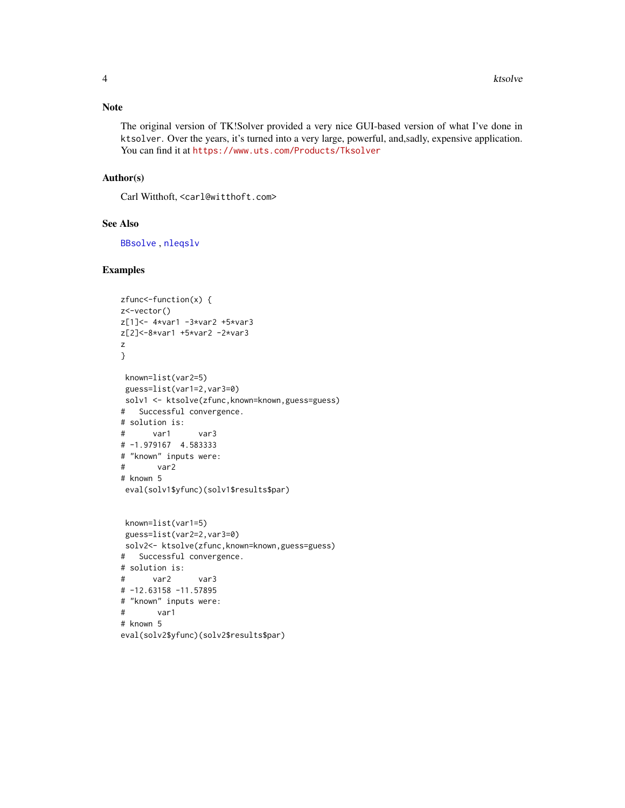# <span id="page-3-0"></span>Note

The original version of TK!Solver provided a very nice GUI-based version of what I've done in ktsolver. Over the years, it's turned into a very large, powerful, and,sadly, expensive application. You can find it at <https://www.uts.com/Products/Tksolver>

# Author(s)

Carl Witthoft, <carl@witthoft.com>

# See Also

[BBsolve](#page-0-0) , [nleqslv](#page-0-0)

# Examples

```
zfunc<-function(x) {
z<-vector()
z[1]<- 4*var1 -3*var2 +5*var3
z[2]<-8*var1 +5*var2 -2*var3
z
}
 known=list(var2=5)
 guess=list(var1=2,var3=0)
solv1 <- ktsolve(zfunc,known=known,guess=guess)
# Successful convergence.
# solution is:
# var1 var3
# -1.979167 4.583333
# "known" inputs were:
# var2
# known 5
eval(solv1$yfunc)(solv1$results$par)
 known=list(var1=5)
 guess=list(var2=2,var3=0)
 solv2<- ktsolve(zfunc,known=known,guess=guess)
# Successful convergence.
# solution is:
# var2 var3
# -12.63158 -11.57895
# "known" inputs were:
# var1
# known 5
eval(solv2$yfunc)(solv2$results$par)
```